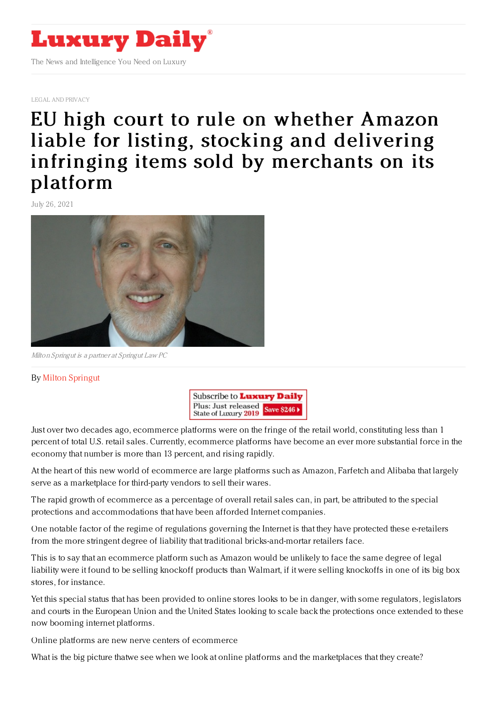

LEGAL AND [PRIVACY](https://www.luxurydaily.com/category/sectors/legal-and-privacy/)

## EU high court to rule on whether Amazon liable for listing, stocking and delivering infringing items sold by [merchants](https://www.luxurydaily.com/eu-high-court-to-rule-on-whether-amazon-liable-for-listing-stocking-and-delivering-infringing-items-sold-by-merchants-on-its-platform/) on its platform

July 26, 2021



Milton Springut is <sup>a</sup> partner at Springut Law PC

## By Milton [Springut](http://www.springutlaw.com)



Just over two decades ago, ecommerce platforms were on the fringe of the retail world, constituting less than 1 percent of total U.S. retail sales. Currently, ecommerce platforms have become an ever more substantial force in the economy that number is more than 13 percent, and rising rapidly.

At the heart of this new world of ecommerce are large platforms such as Amazon, Farfetch and Alibaba that largely serve as a marketplace for third-party vendors to sell their wares.

The rapid growth of ecommerce as a percentage of overall retail sales can, in part, be attributed to the special protections and accommodations that have been afforded Internet companies.

One notable factor of the regime of regulations governing the Internet is that they have protected these e-retailers from the more stringent degree of liability that traditional bricks-and-mortar retailers face.

This is to say that an ecommerce platform such as Amazon would be unlikely to face the same degree of legal liability were it found to be selling knockoff products than Walmart, if it were selling knockoffs in one of its big box stores, for instance.

Yet this special status that has been provided to online stores looks to be in danger, with some regulators, legislators and courts in the European Union and the United States looking to scale back the protections once extended to these now booming internet platforms.

Online platforms are new nerve centers of ecommerce

What is the big picture thatwe see when we look at online platforms and the marketplaces that they create?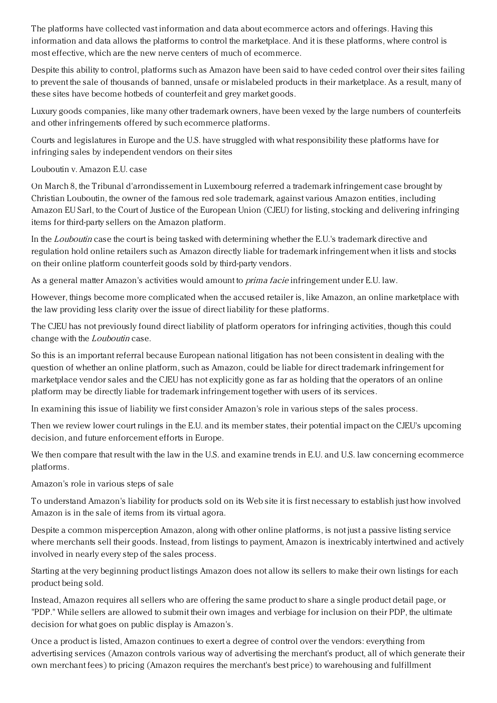The platforms have collected vast information and data about ecommerce actors and offerings. Having this information and data allows the platforms to control the marketplace. And it is these platforms, where control is most effective, which are the new nerve centers of much of ecommerce.

Despite this ability to control, platforms such as Amazon have been said to have ceded control over their sites failing to prevent the sale of thousands of banned, unsafe or mislabeled products in their marketplace. As a result, many of these sites have become hotbeds of counterfeit and grey market goods.

Luxury goods companies, like many other trademark owners, have been vexed by the large numbers of counterfeits and other infringements offered by such ecommerce platforms.

Courts and legislatures in Europe and the U.S. have struggled with what responsibility these platforms have for infringing sales by independent vendors on their sites

Louboutin v. Amazon E.U. case

On March 8, the Tribunal d'arrondissement in Luxembourg referred a trademark infringement case brought by Christian Louboutin, the owner of the famous red sole trademark, against various Amazon entities, including Amazon EU Sarl, to the Court of Justice of the European Union (CJEU) for listing, stocking and delivering infringing items for third-party sellers on the Amazon platform.

In the *Louboutin* case the court is being tasked with determining whether the E.U.'s trademark directive and regulation hold online retailers such as Amazon directly liable for trademark infringement when it lists and stocks on their online platform counterfeit goods sold by third-party vendors.

As a general matter Amazon's activities would amount to *prima facie* infringement under E.U. law.

However, things become more complicated when the accused retailer is, like Amazon, an online marketplace with the law providing less clarity over the issue of direct liability for these platforms.

The CJEU has not previously found direct liability of platform operators for infringing activities, though this could change with the Louboutin case.

So this is an important referral because European national litigation has not been consistent in dealing with the question of whether an online platform, such as Amazon, could be liable for direct trademark infringement for marketplace vendor sales and the CJEU has not explicitly gone as far as holding that the operators of an online platform may be directly liable for trademark infringement together with users of its services.

In examining this issue of liability we first consider Amazon's role in various steps of the sales process.

Then we review lower court rulings in the E.U. and its member states, their potential impact on the CJEU's upcoming decision, and future enforcement efforts in Europe.

We then compare that result with the law in the U.S. and examine trends in E.U. and U.S. law concerning ecommerce platforms.

Amazon's role in various steps of sale

To understand Amazon's liability for products sold on its Web site it is first necessary to establish just how involved Amazon is in the sale of items from its virtual agora.

Despite a common misperception Amazon, along with other online platforms, is not just a passive listing service where merchants sell their goods. Instead, from listings to payment, Amazon is inextricably intertwined and actively involved in nearly every step of the sales process.

Starting at the very beginning product listings Amazon does not allow its sellers to make their own listings for each product being sold.

Instead, Amazon requires all sellers who are offering the same product to share a single product detail page, or "PDP." While sellers are allowed to submit their own images and verbiage for inclusion on their PDP, the ultimate decision for what goes on public display is Amazon's.

Once a product is listed, Amazon continues to exert a degree of control over the vendors: everything from advertising services (Amazon controls various way of advertising the merchant's product, all of which generate their own merchant fees) to pricing (Amazon requires the merchant's best price) to warehousing and fulfillment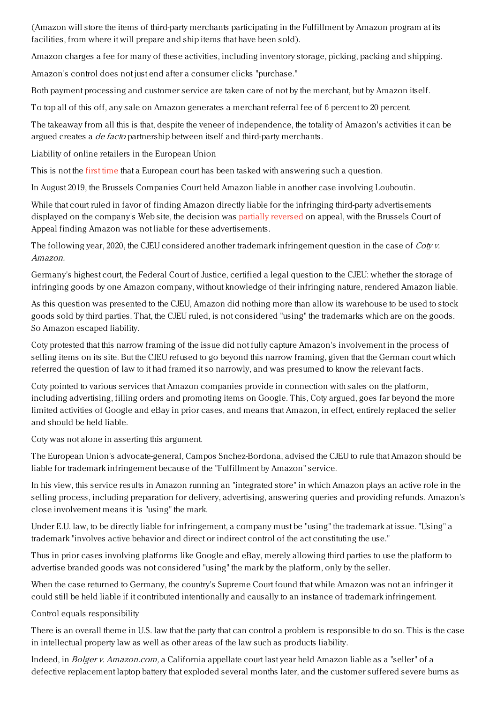(Amazon will store the items of third-party merchants participating in the Fulfillment by Amazon program at its facilities, from where it will prepare and ship items that have been sold).

Amazon charges a fee for many of these activities, including inventory storage, picking, packing and shipping.

Amazon's control does not just end after a consumer clicks "purchase."

Both payment processing and customer service are taken care of not by the merchant, but by Amazon itself.

To top all of this off, any sale on Amazon generates a merchant referral fee of 6 percent to 20 percent.

The takeaway from all this is that, despite the veneer of independence, the totality of Amazon's activities it can be argued creates a *de facto* partnership between itself and third-party merchants.

Liability of online retailers in the European Union

This is not the first [time](https://www.thefashionlaw.com/christian-louboutin-prevails-against-amazon-in-european-union-counterfeiting-case/) that a European court has been tasked with answering such a question.

In August 2019, the Brussels Companies Court held Amazon liable in another case involving Louboutin.

While that court ruled in favor of finding Amazon directly liable for the infringing third-party advertisements displayed on the company's Web site, the decision was partially [reversed](https://www.thefashionlaw.com/a-louboutin-lawsuit-asks-whether-amazon-be-directly-liable-for-trademark-infringement/) on appeal, with the Brussels Court of Appeal finding Amazon was not liable for these advertisements.

The following year, 2020, the CJEU considered another trademark infringement question in the case of  $Covv$ . Amazon.

Germany's highest court, the Federal Court of Justice, certified a legal question to the CJEU: whether the storage of infringing goods by one Amazon company, without knowledge of their infringing nature, rendered Amazon liable.

As this question was presented to the CJEU, Amazon did nothing more than allow its warehouse to be used to stock goods sold by third parties. That, the CJEU ruled, is not considered "using" the trademarks which are on the goods. So Amazon escaped liability.

Coty protested that this narrow framing of the issue did not fully capture Amazon's involvement in the process of selling items on its site. But the CJEU refused to go beyond this narrow framing, given that the German court which referred the question of law to it had framed it so narrowly, and was presumed to know the relevant facts.

Coty pointed to various services that Amazon companies provide in connection with sales on the platform, including advertising, filling orders and promoting items on Google. This, Coty argued, goes far beyond the more limited activities of Google and eBay in prior cases, and means that Amazon, in effect, entirely replaced the seller and should be held liable.

Coty was not alone in asserting this argument.

The European Union's advocate-general, Campos Snchez-Bordona, advised the CJEU to rule that Amazon should be liable for trademark infringement because of the "Fulfillment by Amazon" service.

In his view, this service results in Amazon running an "integrated store" in which Amazon plays an active role in the selling process, including preparation for delivery, advertising, answering queries and providing refunds. Amazon's close involvement means it is "using" the mark.

Under E.U. law, to be directly liable for infringement, a company must be "using" the trademark at issue. "Using" a trademark "involves active behavior and direct or indirect control of the act constituting the use."

Thus in prior cases involving platforms like Google and eBay, merely allowing third parties to use the platform to advertise branded goods was not considered "using" the mark by the platform, only by the seller.

When the case returned to Germany, the country's Supreme Court found that while Amazon was not an infringer it could still be held liable if it contributed intentionally and causally to an instance of trademark infringement.

Control equals responsibility

There is an overall theme in U.S. law that the party that can control a problem is responsible to do so. This is the case in intellectual property law as well as other areas of the law such as products liability.

Indeed, in *Bolger v. Amazon.com*, a California appellate court last year held Amazon liable as a "seller" of a defective replacement laptop battery that exploded several months later, and the customer suffered severe burns as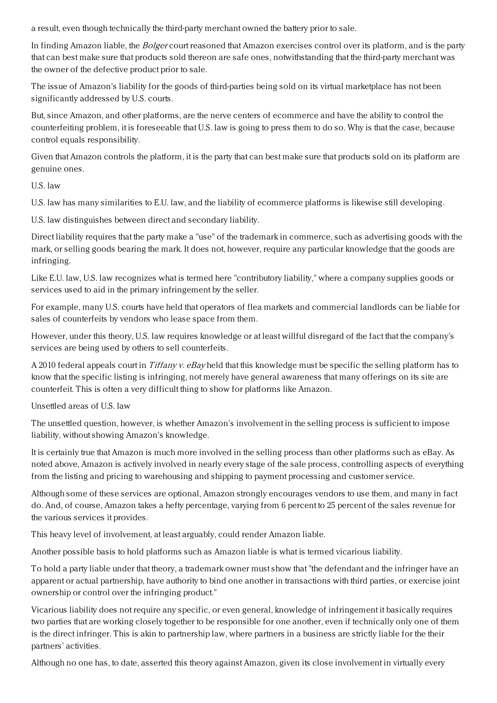a result, even though technically the third-party merchant owned the battery prior to sale.

In finding Amazon liable, the Bolger court reasoned that Amazon exercises control over its platform, and is the party that can best make sure that products sold thereon are safe ones, notwithstanding that the third-party merchant was the owner of the defective product prior to sale.

The issue of Amazon's liability for the goods of third-parties being sold on its virtual marketplace has not been significantly addressed by U.S. courts.

But, since Amazon, and other platforms, are the nerve centers of ecommerce and have the ability to control the counterfeiting problem, it is foreseeable that U.S. law is going to press them to do so. Why is that the case, because control equals responsibility.

Given that Amazon controls the platform, it is the party that can best make sure that products sold on its platform are genuine ones.

U.S. law

U.S. law has many similarities to E.U. law, and the liability of ecommerce platforms is likewise still developing.

U.S. law distinguishes between direct and secondary liability.

Direct liability requires that the party make a "use" of the trademark in commerce, such as advertising goods with the mark, or selling goods bearing the mark. It does not, however, require any particular knowledge that the goods are infringing.

Like E.U. law, U.S. law recognizes what is termed here "contributory liability," where a company supplies goods or services used to aid in the primary infringement by the seller.

For example, many U.S. courts have held that operators of flea markets and commercial landlords can be liable for sales of counterfeits by vendors who lease space from them.

However, under this theory, U.S. law requires knowledge or at least willful disregard of the fact that the company's services are being used by others to sell counterfeits.

A 2010 federal appeals court in Tiffany v. eBay held that this knowledge must be specific the selling platform has to know that the specific listing is infringing, not merely have general awareness that many offerings on its site are counterfeit. This is often a very difficult thing to show for platforms like Amazon.

Unsettled areas of U.S. law

The unsettled question, however, is whether Amazon's involvement in the selling process is sufficient to impose liability, without showing Amazon's knowledge.

It is certainly true that Amazon is much more involved in the selling process than other platforms such as eBay. As noted above, Amazon is actively involved in nearly every stage of the sale process, controlling aspects of everything from the listing and pricing to warehousing and shipping to payment processing and customer service.

Although some of these services are optional, Amazon strongly encourages vendors to use them, and many in fact do. And, of course, Amazon takes a hefty percentage, varying from 6 percent to 25 percent of the sales revenue for the various services it provides.

This heavy level of involvement, at least arguably, could render Amazon liable.

Another possible basis to hold platforms such as Amazon liable is what is termed vicarious liability.

To hold a party liable under that theory, a trademark owner must show that "the defendant and the infringer have an apparent or actual partnership, have authority to bind one another in transactions with third parties, or exercise joint ownership or control over the infringing product."

Vicarious liability does not require any specific, or even general, knowledge of infringement it basically requires two parties that are working closely together to be responsible for one another, even if technically only one of them is the direct infringer. This is akin to partnership law, where partners in a business are strictly liable for the their partners' activities.

Although no one has, to date, asserted this theory against Amazon, given its close involvement in virtually every